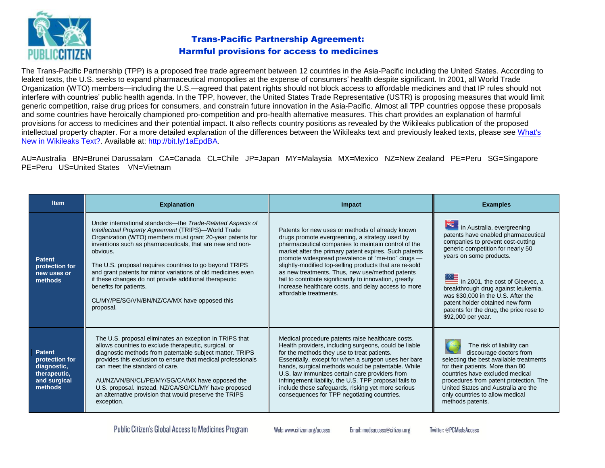

## Trans-Pacific Partnership Agreement: Harmful provisions for access to medicines

The Trans-Pacific Partnership (TPP) is a proposed free trade agreement between 12 countries in the Asia-Pacific including the United States. According to leaked texts, the U.S. seeks to expand pharmaceutical monopolies at the expense of consumers' health despite significant. In 2001, all World Trade Organization (WTO) members—including the U.S.—agreed that patent rights should not block access to affordable medicines and that IP rules should not interfere with countries' public health agenda. In the TPP, however, the United States Trade Representative (USTR) is proposing measures that would limit generic competition, raise drug prices for consumers, and constrain future innovation in the Asia-Pacific. Almost all TPP countries oppose these proposals and some countries have heroically championed pro-competition and pro-health alternative measures. This chart provides an explanation of harmful provisions for access to medicines and their potential impact. It also reflects country positions as revealed by the Wikileaks publication of the proposed intellectual property chapter. For a more detailed explanation of the differences between the Wikileaks text and previously leaked texts, please see What's [New in Wikileaks Text?.](http://www.citizen.org/documents/Whats%20New%20in%20the%20WikiLeaks%20TPP%20Text-11.pdf) Available at: [http://bit.ly/1aEpdBA.](http://bit.ly/1aEpdBA)

AU=Australia BN=Brunei Darussalam CA=Canada CL=Chile JP=Japan MY=Malaysia MX=Mexico NZ=New Zealand PE=Peru SG=Singapore PE=Peru US=United States VN=Vietnam

| <b>Item</b>                                                                               | <b>Explanation</b>                                                                                                                                                                                                                                                                                                                                                                                                                                                                                                                  | Impact                                                                                                                                                                                                                                                                                                                                                                                                                                                                                                                            | <b>Examples</b>                                                                                                                                                                                                                                                                                                                                                                            |
|-------------------------------------------------------------------------------------------|-------------------------------------------------------------------------------------------------------------------------------------------------------------------------------------------------------------------------------------------------------------------------------------------------------------------------------------------------------------------------------------------------------------------------------------------------------------------------------------------------------------------------------------|-----------------------------------------------------------------------------------------------------------------------------------------------------------------------------------------------------------------------------------------------------------------------------------------------------------------------------------------------------------------------------------------------------------------------------------------------------------------------------------------------------------------------------------|--------------------------------------------------------------------------------------------------------------------------------------------------------------------------------------------------------------------------------------------------------------------------------------------------------------------------------------------------------------------------------------------|
| <b>Patent</b><br>protection for<br>new uses or<br>methods                                 | Under international standards—the Trade-Related Aspects of<br>Intellectual Property Agreement (TRIPS)-World Trade<br>Organization (WTO) members must grant 20-year patents for<br>inventions such as pharmaceuticals, that are new and non-<br>obvious.<br>The U.S. proposal requires countries to go beyond TRIPS<br>and grant patents for minor variations of old medicines even<br>if these changes do not provide additional therapeutic<br>benefits for patients.<br>CL/MY/PE/SG/VN/BN/NZ/CA/MX have opposed this<br>proposal. | Patents for new uses or methods of already known<br>drugs promote evergreening, a strategy used by<br>pharmaceutical companies to maintain control of the<br>market after the primary patent expires. Such patents<br>promote widespread prevalence of "me-too" drugs -<br>slightly-modified top-selling products that are re-sold<br>as new treatments. Thus, new use/method patents<br>fail to contribute significantly to innovation, greatly<br>increase healthcare costs, and delay access to more<br>affordable treatments. | In Australia, evergreening<br>patents have enabled pharmaceutical<br>companies to prevent cost-cutting<br>generic competition for nearly 50<br>years on some products.<br>In 2001, the cost of Gleevec, a<br>breakthrough drug against leukemia,<br>was \$30,000 in the U.S. After the<br>patent holder obtained new form<br>patents for the drug, the price rose to<br>\$92,000 per year. |
| <b>Patent</b><br>protection for<br>diagnostic,<br>therapeutic,<br>and surgical<br>methods | The U.S. proposal eliminates an exception in TRIPS that<br>allows countries to exclude therapeutic, surgical, or<br>diagnostic methods from patentable subject matter. TRIPS<br>provides this exclusion to ensure that medical professionals<br>can meet the standard of care.<br>AU/NZ/VN/BN/CL/PE/MY/SG/CA/MX have opposed the<br>U.S. proposal. Instead, NZ/CA/SG/CL/MY have proposed<br>an alternative provision that would preserve the TRIPS<br>exception.                                                                    | Medical procedure patents raise healthcare costs.<br>Health providers, including surgeons, could be liable<br>for the methods they use to treat patients.<br>Essentially, except for when a surgeon uses her bare<br>hands, surgical methods would be patentable. While<br>U.S. law immunizes certain care providers from<br>infringement liability, the U.S. TPP proposal fails to<br>include these safeguards, risking yet more serious<br>consequences for TPP negotiating countries.                                          | The risk of liability can<br>discourage doctors from<br>selecting the best available treatments<br>for their patients. More than 80<br>countries have excluded medical<br>procedures from patent protection. The<br>United States and Australia are the<br>only countries to allow medical<br>methods patents.                                                                             |

Web: www.citizen.org/access

Twitter: @PCMedsAccess

Email: medsaccess@citizen.org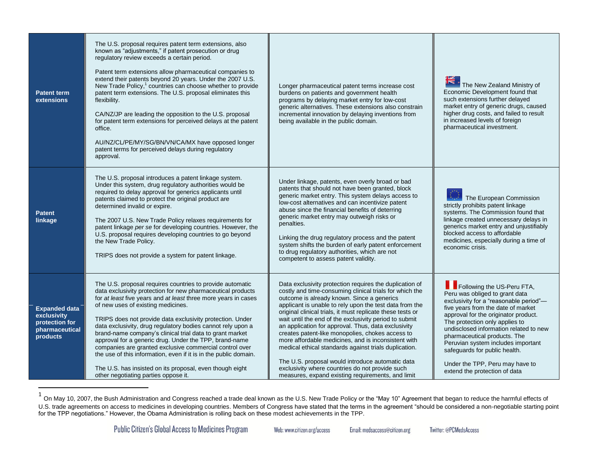| <b>Patent term</b><br>extensions                                                    | The U.S. proposal requires patent term extensions, also<br>known as "adjustments," if patent prosecution or drug<br>regulatory review exceeds a certain period.<br>Patent term extensions allow pharmaceutical companies to<br>extend their patents beyond 20 years. Under the 2007 U.S.<br>New Trade Policy, <sup>1</sup> countries can choose whether to provide<br>patent term extensions. The U.S. proposal eliminates this<br>flexibility.<br>CA/NZ/JP are leading the opposition to the U.S. proposal<br>for patent term extensions for perceived delays at the patent<br>office.<br>AU/NZ/CL/PE/MY/SG/BN/VN/CA/MX have opposed longer<br>patent terms for perceived delays during regulatory<br>approval.      | Longer pharmaceutical patent terms increase cost<br>burdens on patients and government health<br>programs by delaying market entry for low-cost<br>generic alternatives. These extensions also constrain<br>incremental innovation by delaying inventions from<br>being available in the public domain.                                                                                                                                                                                                                                                                                                                                                                                                                                    | The New Zealand Ministry of<br>Economic Development found that<br>such extensions further delayed<br>market entry of generic drugs, caused<br>higher drug costs, and failed to result<br>in increased levels of foreign<br>pharmaceutical investment.                                                                                                                                                                                       |
|-------------------------------------------------------------------------------------|-----------------------------------------------------------------------------------------------------------------------------------------------------------------------------------------------------------------------------------------------------------------------------------------------------------------------------------------------------------------------------------------------------------------------------------------------------------------------------------------------------------------------------------------------------------------------------------------------------------------------------------------------------------------------------------------------------------------------|--------------------------------------------------------------------------------------------------------------------------------------------------------------------------------------------------------------------------------------------------------------------------------------------------------------------------------------------------------------------------------------------------------------------------------------------------------------------------------------------------------------------------------------------------------------------------------------------------------------------------------------------------------------------------------------------------------------------------------------------|---------------------------------------------------------------------------------------------------------------------------------------------------------------------------------------------------------------------------------------------------------------------------------------------------------------------------------------------------------------------------------------------------------------------------------------------|
| <b>Patent</b><br>linkage                                                            | The U.S. proposal introduces a patent linkage system.<br>Under this system, drug regulatory authorities would be<br>required to delay approval for generics applicants until<br>patents claimed to protect the original product are<br>determined invalid or expire.<br>The 2007 U.S. New Trade Policy relaxes requirements for<br>patent linkage per se for developing countries. However, the<br>U.S. proposal requires developing countries to go beyond<br>the New Trade Policy.<br>TRIPS does not provide a system for patent linkage.                                                                                                                                                                           | Under linkage, patents, even overly broad or bad<br>patents that should not have been granted, block<br>generic market entry. This system delays access to<br>low-cost alternatives and can incentivize patent<br>abuse since the financial benefits of deterring<br>generic market entry may outweigh risks or<br>penalties.<br>Linking the drug regulatory process and the patent<br>system shifts the burden of early patent enforcement<br>to drug regulatory authorities, which are not<br>competent to assess patent validity.                                                                                                                                                                                                       | The European Commission<br>strictly prohibits patent linkage<br>systems. The Commission found that<br>linkage created unnecessary delays in<br>generics market entry and unjustifiably<br>blocked access to affordable<br>medicines, especially during a time of<br>economic crisis.                                                                                                                                                        |
| <b>Expanded data</b><br>exclusivity<br>protection for<br>pharmaceutical<br>products | The U.S. proposal requires countries to provide automatic<br>data exclusivity protection for new pharmaceutical products<br>for at least five years and at least three more years in cases<br>of new uses of existing medicines.<br>TRIPS does not provide data exclusivity protection. Under<br>data exclusivity, drug regulatory bodies cannot rely upon a<br>brand-name company's clinical trial data to grant market<br>approval for a generic drug. Under the TPP, brand-name<br>companies are granted exclusive commercial control over<br>the use of this information, even if it is in the public domain.<br>The U.S. has insisted on its proposal, even though eight<br>other negotiating parties oppose it. | Data exclusivity protection requires the duplication of<br>costly and time-consuming clinical trials for which the<br>outcome is already known. Since a generics<br>applicant is unable to rely upon the test data from the<br>original clinical trials, it must replicate these tests or<br>wait until the end of the exclusivity period to submit<br>an application for approval. Thus, data exclusivity<br>creates patent-like monopolies, chokes access to<br>more affordable medicines, and is inconsistent with<br>medical ethical standards against trials duplication.<br>The U.S. proposal would introduce automatic data<br>exclusivity where countries do not provide such<br>measures, expand existing requirements, and limit | Following the US-Peru FTA,<br>Peru was obliged to grant data<br>exclusivity for a "reasonable period"-<br>five years from the date of market<br>approval for the originator product.<br>The protection only applies to<br>undisclosed information related to new<br>pharmaceutical products. The<br>Peruvian system includes important<br>safeguards for public health.<br>Under the TPP, Peru may have to<br>extend the protection of data |

<sup>&</sup>lt;sup>1</sup> On May 10, 2007, the Bush Administration and Congress reached a trade deal known as the U.S. New Trade Policy or the "May 10" Agreement that began to reduce the harmful effects of U.S. trade agreements on access to medicines in developing countries. Members of Congress have stated that the terms in the agreement "should be considered a non-negotiable starting point for the TPP negotiations." However, the Obama Administration is rolling back on these modest achievements in the TPP.

 $\overline{a}$ 

Web: www.citizen.org/access Email: medsaccess@citizen.org